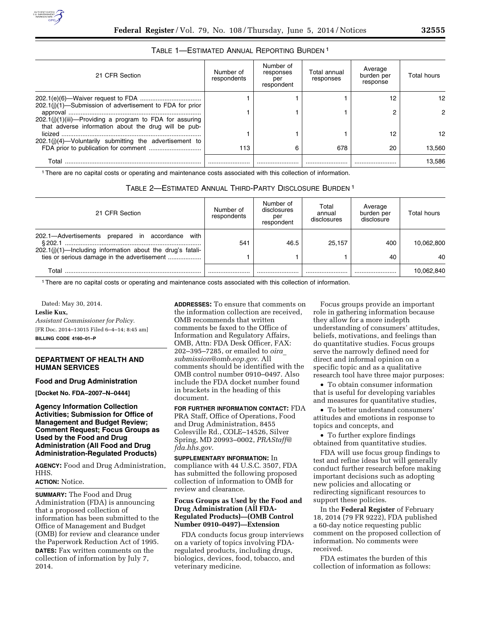## TABLE 1—ESTIMATED ANNUAL REPORTING BURDEN 1

| 21 CFR Section                                                                                                      | Number of<br>respondents | Number of<br>responses<br>per<br>respondent | Total annual<br>responses | Average<br>burden per<br>response | Total hours |
|---------------------------------------------------------------------------------------------------------------------|--------------------------|---------------------------------------------|---------------------------|-----------------------------------|-------------|
| 202.1(i)(1)-Submission of advertisement to FDA for prior                                                            |                          |                                             |                           | 12                                | 12.         |
| $202.1(j)(1)(iii)$ -Providing a program to FDA for assuring<br>that adverse information about the drug will be pub- |                          |                                             |                           |                                   |             |
| $202.1(j)(4)$ —Voluntarily submitting the advertisement to                                                          |                          |                                             |                           | 12                                | 12.         |
|                                                                                                                     | 113                      | 6                                           | 678                       | 20                                | 13.560      |
| Total                                                                                                               |                          |                                             |                           |                                   | 13.586      |

1There are no capital costs or operating and maintenance costs associated with this collection of information.

| TABLE 2-ESTIMATED ANNUAL THIRD-PARTY DISCLOSURE BURDEN <sup>1</sup> |  |  |  |
|---------------------------------------------------------------------|--|--|--|
|---------------------------------------------------------------------|--|--|--|

| 21 CFR Section                                                                                                       | Number of<br>respondents | Number of<br>disclosures<br>per<br>respondent | Total<br>annual<br>disclosures | Average<br>burden per<br>disclosure | Total hours |
|----------------------------------------------------------------------------------------------------------------------|--------------------------|-----------------------------------------------|--------------------------------|-------------------------------------|-------------|
| with<br>202.1-Advertisements prepared in<br>accordance<br>202.1(j)(1)—Including information about the drug's fatali- | 541                      | 46.5                                          | 25.157                         | 400                                 | 10.062.800  |
| ties or serious damage in the advertisement                                                                          |                          |                                               |                                | 40                                  | 40          |
| Total                                                                                                                |                          |                                               |                                |                                     | 10.062.840  |

1There are no capital costs or operating and maintenance costs associated with this collection of information.

Dated: May 30, 2014.

#### **Leslie Kux,**

*Assistant Commissioner for Policy.*  [FR Doc. 2014–13015 Filed 6–4–14; 8:45 am] **BILLING CODE 4160–01–P** 

## **DEPARTMENT OF HEALTH AND HUMAN SERVICES**

#### **Food and Drug Administration**

**[Docket No. FDA–2007–N–0444]** 

## **Agency Information Collection Activities; Submission for Office of Management and Budget Review; Comment Request; Focus Groups as Used by the Food and Drug Administration (All Food and Drug Administration-Regulated Products)**

**AGENCY:** Food and Drug Administration, HHS.

# **ACTION:** Notice.

**SUMMARY:** The Food and Drug Administration (FDA) is announcing that a proposed collection of information has been submitted to the Office of Management and Budget (OMB) for review and clearance under the Paperwork Reduction Act of 1995. **DATES:** Fax written comments on the

collection of information by July 7, 2014.

**ADDRESSES:** To ensure that comments on the information collection are received, OMB recommends that written comments be faxed to the Office of Information and Regulatory Affairs, OMB, Attn: FDA Desk Officer, FAX: 202–395–7285, or emailed to *[oira](mailto:oira_submission@omb.eop.gov)*\_ *[submission@omb.eop.gov](mailto:oira_submission@omb.eop.gov)*. All comments should be identified with the OMB control number 0910–0497. Also include the FDA docket number found in brackets in the heading of this document.

**FOR FURTHER INFORMATION CONTACT:** FDA PRA Staff, Office of Operations, Food and Drug Administration, 8455 Colesville Rd., COLE–14526, Silver Spring, MD 20993–0002, *[PRAStaff@](mailto:PRAStaff@fda.hhs.gov) [fda.hhs.gov](mailto:PRAStaff@fda.hhs.gov)*.

**SUPPLEMENTARY INFORMATION:** In compliance with 44 U.S.C. 3507, FDA has submitted the following proposed collection of information to OMB for review and clearance.

## **Focus Groups as Used by the Food and Drug Administration (All FDA-Regulated Products)—(OMB Control Number 0910–0497)—Extension**

FDA conducts focus group interviews on a variety of topics involving FDAregulated products, including drugs, biologics, devices, food, tobacco, and veterinary medicine.

Focus groups provide an important role in gathering information because they allow for a more indepth understanding of consumers' attitudes, beliefs, motivations, and feelings than do quantitative studies. Focus groups serve the narrowly defined need for direct and informal opinion on a specific topic and as a qualitative research tool have three major purposes:

• To obtain consumer information that is useful for developing variables and measures for quantitative studies,

• To better understand consumers' attitudes and emotions in response to topics and concepts, and

• To further explore findings obtained from quantitative studies.

FDA will use focus group findings to test and refine ideas but will generally conduct further research before making important decisions such as adopting new policies and allocating or redirecting significant resources to support these policies.

In the **Federal Register** of February 18, 2014 (79 FR 9222), FDA published a 60-day notice requesting public comment on the proposed collection of information. No comments were received.

FDA estimates the burden of this collection of information as follows: